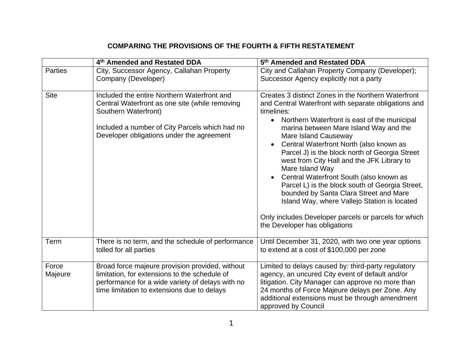## **COMPARING THE PROVISIONS OF THE FOURTH & FIFTH RESTATEMENT**

|                  | 4th Amended and Restated DDA                                                                                                                                                                                         | 5 <sup>th</sup> Amended and Restated DDA                                                                                                                                                                                                                                                                                                                                                                                                                                                                                                                                                                                                                                                                                                 |
|------------------|----------------------------------------------------------------------------------------------------------------------------------------------------------------------------------------------------------------------|------------------------------------------------------------------------------------------------------------------------------------------------------------------------------------------------------------------------------------------------------------------------------------------------------------------------------------------------------------------------------------------------------------------------------------------------------------------------------------------------------------------------------------------------------------------------------------------------------------------------------------------------------------------------------------------------------------------------------------------|
| <b>Parties</b>   | City, Successor Agency, Callahan Property<br>Company (Developer)                                                                                                                                                     | City and Callahan Property Company (Developer);<br>Successor Agency explicitly not a party                                                                                                                                                                                                                                                                                                                                                                                                                                                                                                                                                                                                                                               |
| <b>Site</b>      | Included the entire Northern Waterfront and<br>Central Waterfront as one site (while removing<br>Southern Waterfront)<br>Included a number of City Parcels which had no<br>Developer obligations under the agreement | Creates 3 distinct Zones in the Northern Waterfront<br>and Central Waterfront with separate obligations and<br>timelines:<br>Northern Waterfront is east of the municipal<br>$\bullet$<br>marina between Mare Island Way and the<br><b>Mare Island Causeway</b><br>Central Waterfront North (also known as<br>$\bullet$<br>Parcel J) is the block north of Georgia Street<br>west from City Hall and the JFK Library to<br>Mare Island Way<br>Central Waterfront South (also known as<br>$\bullet$<br>Parcel L) is the block south of Georgia Street,<br>bounded by Santa Clara Street and Mare<br>Island Way, where Vallejo Station is located<br>Only includes Developer parcels or parcels for which<br>the Developer has obligations |
| Term             | There is no term, and the schedule of performance<br>tolled for all parties                                                                                                                                          | Until December 31, 2020, with two one year options<br>to extend at a cost of \$100,000 per zone                                                                                                                                                                                                                                                                                                                                                                                                                                                                                                                                                                                                                                          |
| Force<br>Majeure | Broad force majeure provision provided, without<br>limitation, for extensions to the schedule of<br>performance for a wide variety of delays with no<br>time limitation to extensions due to delays                  | Limited to delays caused by: third-party regulatory<br>agency, an uncured City event of default and/or<br>litigation. City Manager can approve no more than<br>24 months of Force Majeure delays per Zone. Any<br>additional extensions must be through amendment<br>approved by Council                                                                                                                                                                                                                                                                                                                                                                                                                                                 |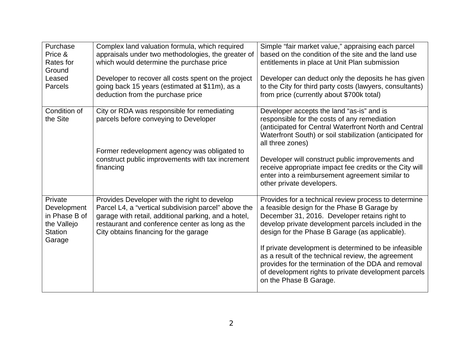| Purchase<br>Price &<br>Rates for<br>Ground<br>Leased<br><b>Parcels</b>             | Complex land valuation formula, which required<br>appraisals under two methodologies, the greater of<br>which would determine the purchase price<br>Developer to recover all costs spent on the project<br>going back 15 years (estimated at \$11m), as a<br>deduction from the purchase price | Simple "fair market value," appraising each parcel<br>based on the condition of the site and the land use<br>entitlements in place at Unit Plan submission<br>Developer can deduct only the deposits he has given<br>to the City for third party costs (lawyers, consultants)<br>from price (currently about \$700k total)                                                                                                                                                                                            |
|------------------------------------------------------------------------------------|------------------------------------------------------------------------------------------------------------------------------------------------------------------------------------------------------------------------------------------------------------------------------------------------|-----------------------------------------------------------------------------------------------------------------------------------------------------------------------------------------------------------------------------------------------------------------------------------------------------------------------------------------------------------------------------------------------------------------------------------------------------------------------------------------------------------------------|
| Condition of<br>the Site                                                           | City or RDA was responsible for remediating<br>parcels before conveying to Developer<br>Former redevelopment agency was obligated to<br>construct public improvements with tax increment<br>financing                                                                                          | Developer accepts the land "as-is" and is<br>responsible for the costs of any remediation<br>(anticipated for Central Waterfront North and Central<br>Waterfront South) or soil stabilization (anticipated for<br>all three zones)<br>Developer will construct public improvements and<br>receive appropriate impact fee credits or the City will<br>enter into a reimbursement agreement similar to<br>other private developers.                                                                                     |
| Private<br>Development<br>in Phase B of<br>the Vallejo<br><b>Station</b><br>Garage | Provides Developer with the right to develop<br>Parcel L4, a "vertical subdivision parcel" above the<br>garage with retail, additional parking, and a hotel,<br>restaurant and conference center as long as the<br>City obtains financing for the garage                                       | Provides for a technical review process to determine<br>a feasible design for the Phase B Garage by<br>December 31, 2016. Developer retains right to<br>develop private development parcels included in the<br>design for the Phase B Garage (as applicable).<br>If private development is determined to be infeasible<br>as a result of the technical review, the agreement<br>provides for the termination of the DDA and removal<br>of development rights to private development parcels<br>on the Phase B Garage. |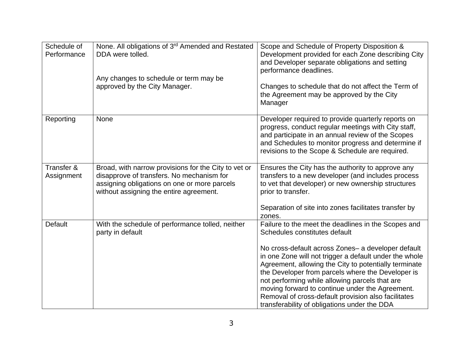| Schedule of<br>Performance | None. All obligations of 3rd Amended and Restated<br>DDA were tolled.                                                                                                                        | Scope and Schedule of Property Disposition &<br>Development provided for each Zone describing City<br>and Developer separate obligations and setting<br>performance deadlines.                                                                                                                                                                                                                                                                                                                                                           |
|----------------------------|----------------------------------------------------------------------------------------------------------------------------------------------------------------------------------------------|------------------------------------------------------------------------------------------------------------------------------------------------------------------------------------------------------------------------------------------------------------------------------------------------------------------------------------------------------------------------------------------------------------------------------------------------------------------------------------------------------------------------------------------|
|                            | Any changes to schedule or term may be<br>approved by the City Manager.                                                                                                                      | Changes to schedule that do not affect the Term of<br>the Agreement may be approved by the City<br>Manager                                                                                                                                                                                                                                                                                                                                                                                                                               |
| Reporting                  | None                                                                                                                                                                                         | Developer required to provide quarterly reports on<br>progress, conduct regular meetings with City staff,<br>and participate in an annual review of the Scopes<br>and Schedules to monitor progress and determine if<br>revisions to the Scope & Schedule are required.                                                                                                                                                                                                                                                                  |
| Transfer &<br>Assignment   | Broad, with narrow provisions for the City to vet or<br>disapprove of transfers. No mechanism for<br>assigning obligations on one or more parcels<br>without assigning the entire agreement. | Ensures the City has the authority to approve any<br>transfers to a new developer (and includes process<br>to vet that developer) or new ownership structures<br>prior to transfer.<br>Separation of site into zones facilitates transfer by                                                                                                                                                                                                                                                                                             |
| <b>Default</b>             | With the schedule of performance tolled, neither<br>party in default                                                                                                                         | zones.<br>Failure to the meet the deadlines in the Scopes and<br>Schedules constitutes default<br>No cross-default across Zones- a developer default<br>in one Zone will not trigger a default under the whole<br>Agreement, allowing the City to potentially terminate<br>the Developer from parcels where the Developer is<br>not performing while allowing parcels that are<br>moving forward to continue under the Agreement.<br>Removal of cross-default provision also facilitates<br>transferability of obligations under the DDA |